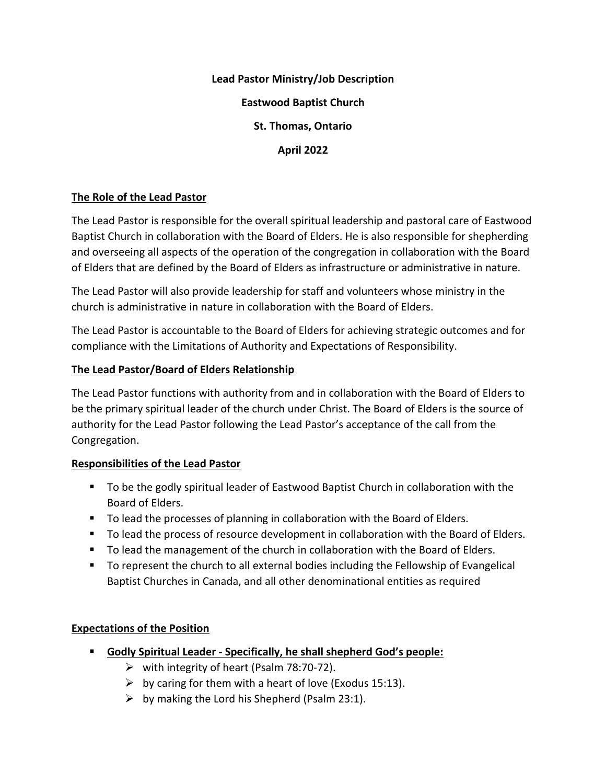# **Lead Pastor Ministry/Job Description Eastwood Baptist Church St. Thomas, Ontario April 2022**

## **The Role of the Lead Pastor**

The Lead Pastor is responsible for the overall spiritual leadership and pastoral care of Eastwood Baptist Church in collaboration with the Board of Elders. He is also responsible for shepherding and overseeing all aspects of the operation of the congregation in collaboration with the Board of Elders that are defined by the Board of Elders as infrastructure or administrative in nature.

The Lead Pastor will also provide leadership for staff and volunteers whose ministry in the church is administrative in nature in collaboration with the Board of Elders.

The Lead Pastor is accountable to the Board of Elders for achieving strategic outcomes and for compliance with the Limitations of Authority and Expectations of Responsibility.

### **The Lead Pastor/Board of Elders Relationship**

The Lead Pastor functions with authority from and in collaboration with the Board of Elders to be the primary spiritual leader of the church under Christ. The Board of Elders is the source of authority for the Lead Pastor following the Lead Pastor's acceptance of the call from the Congregation.

### **Responsibilities of the Lead Pastor**

- To be the godly spiritual leader of Eastwood Baptist Church in collaboration with the Board of Elders.
- § To lead the processes of planning in collaboration with the Board of Elders.
- To lead the process of resource development in collaboration with the Board of Elders.
- To lead the management of the church in collaboration with the Board of Elders.
- To represent the church to all external bodies including the Fellowship of Evangelical Baptist Churches in Canada, and all other denominational entities as required

### **Expectations of the Position**

- § **Godly Spiritual Leader - Specifically, he shall shepherd God's people:**
	- $\triangleright$  with integrity of heart (Psalm 78:70-72).
	- $\triangleright$  by caring for them with a heart of love (Exodus 15:13).
	- $\triangleright$  by making the Lord his Shepherd (Psalm 23:1).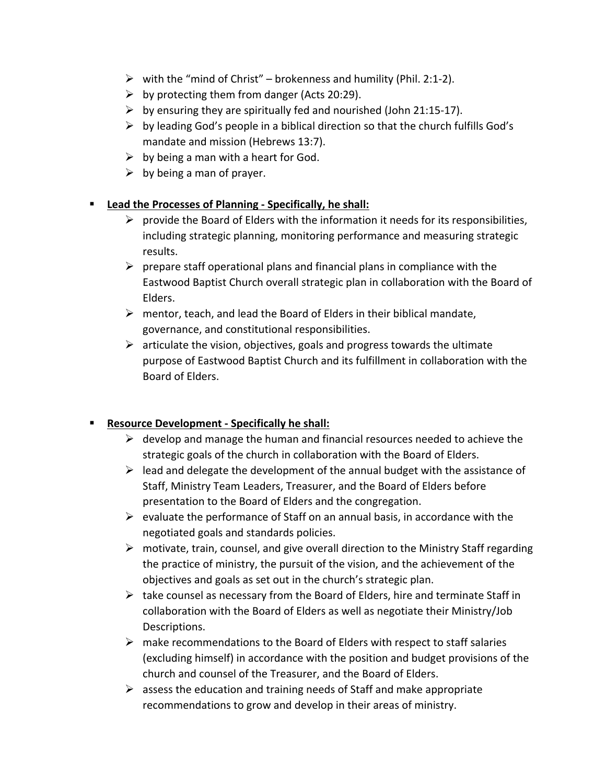- $\triangleright$  with the "mind of Christ" brokenness and humility (Phil. 2:1-2).
- $\triangleright$  by protecting them from danger (Acts 20:29).
- $\triangleright$  by ensuring they are spiritually fed and nourished (John 21:15-17).
- $\triangleright$  by leading God's people in a biblical direction so that the church fulfills God's mandate and mission (Hebrews 13:7).
- $\triangleright$  by being a man with a heart for God.
- $\triangleright$  by being a man of prayer.

# § **Lead the Processes of Planning - Specifically, he shall:**

- $\triangleright$  provide the Board of Elders with the information it needs for its responsibilities, including strategic planning, monitoring performance and measuring strategic results.
- $\triangleright$  prepare staff operational plans and financial plans in compliance with the Eastwood Baptist Church overall strategic plan in collaboration with the Board of Elders.
- $\triangleright$  mentor, teach, and lead the Board of Elders in their biblical mandate, governance, and constitutional responsibilities.
- $\triangleright$  articulate the vision, objectives, goals and progress towards the ultimate purpose of Eastwood Baptist Church and its fulfillment in collaboration with the Board of Elders.

# § **Resource Development - Specifically he shall:**

- $\triangleright$  develop and manage the human and financial resources needed to achieve the strategic goals of the church in collaboration with the Board of Elders.
- $\triangleright$  lead and delegate the development of the annual budget with the assistance of Staff, Ministry Team Leaders, Treasurer, and the Board of Elders before presentation to the Board of Elders and the congregation.
- $\triangleright$  evaluate the performance of Staff on an annual basis, in accordance with the negotiated goals and standards policies.
- $\triangleright$  motivate, train, counsel, and give overall direction to the Ministry Staff regarding the practice of ministry, the pursuit of the vision, and the achievement of the objectives and goals as set out in the church's strategic plan.
- $\triangleright$  take counsel as necessary from the Board of Elders, hire and terminate Staff in collaboration with the Board of Elders as well as negotiate their Ministry/Job Descriptions.
- $\triangleright$  make recommendations to the Board of Elders with respect to staff salaries (excluding himself) in accordance with the position and budget provisions of the church and counsel of the Treasurer, and the Board of Elders.
- $\triangleright$  assess the education and training needs of Staff and make appropriate recommendations to grow and develop in their areas of ministry.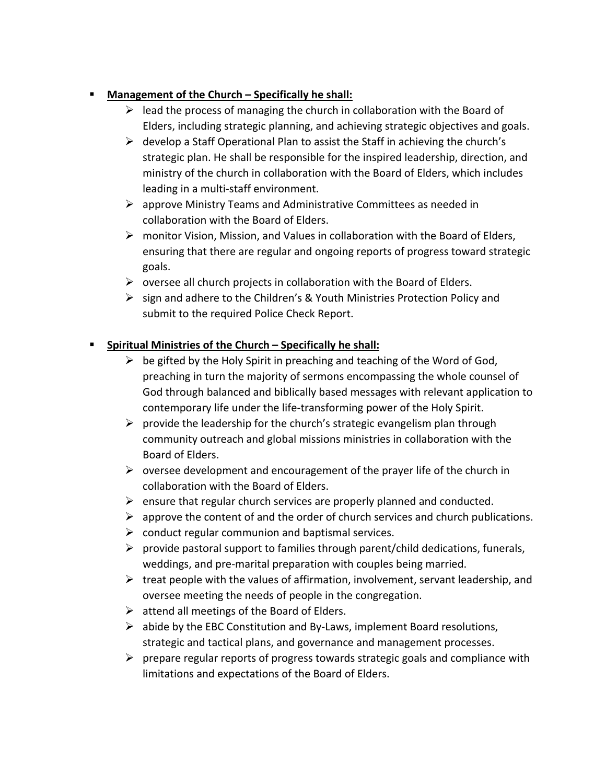# § **Management of the Church – Specifically he shall:**

- $\triangleright$  lead the process of managing the church in collaboration with the Board of Elders, including strategic planning, and achieving strategic objectives and goals.
- $\triangleright$  develop a Staff Operational Plan to assist the Staff in achieving the church's strategic plan. He shall be responsible for the inspired leadership, direction, and ministry of the church in collaboration with the Board of Elders, which includes leading in a multi-staff environment.
- $\triangleright$  approve Ministry Teams and Administrative Committees as needed in collaboration with the Board of Elders.
- $\triangleright$  monitor Vision, Mission, and Values in collaboration with the Board of Elders, ensuring that there are regular and ongoing reports of progress toward strategic goals.
- $\triangleright$  oversee all church projects in collaboration with the Board of Elders.
- $\triangleright$  sign and adhere to the Children's & Youth Ministries Protection Policy and submit to the required Police Check Report.

# ■ Spiritual Ministries of the Church – Specifically he shall:

- $\triangleright$  be gifted by the Holy Spirit in preaching and teaching of the Word of God, preaching in turn the majority of sermons encompassing the whole counsel of God through balanced and biblically based messages with relevant application to contemporary life under the life-transforming power of the Holy Spirit.
- $\triangleright$  provide the leadership for the church's strategic evangelism plan through community outreach and global missions ministries in collaboration with the Board of Elders.
- $\triangleright$  oversee development and encouragement of the prayer life of the church in collaboration with the Board of Elders.
- $\triangleright$  ensure that regular church services are properly planned and conducted.
- $\triangleright$  approve the content of and the order of church services and church publications.
- $\triangleright$  conduct regular communion and baptismal services.
- $\triangleright$  provide pastoral support to families through parent/child dedications, funerals, weddings, and pre-marital preparation with couples being married.
- $\triangleright$  treat people with the values of affirmation, involvement, servant leadership, and oversee meeting the needs of people in the congregation.
- $\triangleright$  attend all meetings of the Board of Elders.
- $\triangleright$  abide by the EBC Constitution and By-Laws, implement Board resolutions, strategic and tactical plans, and governance and management processes.
- $\triangleright$  prepare regular reports of progress towards strategic goals and compliance with limitations and expectations of the Board of Elders.